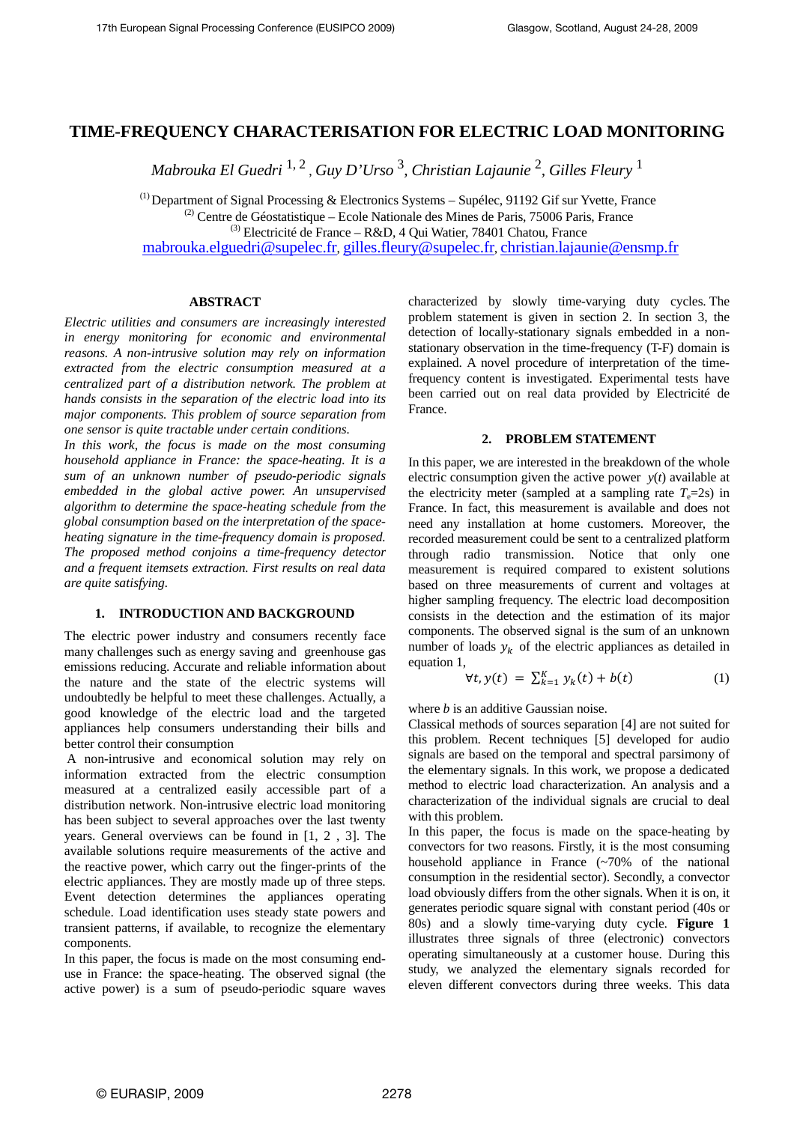# **TIME-FREQUENCY CHARACTERISATION FOR ELECTRIC LOAD MONITORING**

*Mabrouka El Guedri* 1, 2 , *Guy D'Urso* <sup>3</sup> *, Christian Lajaunie* <sup>2</sup> *, Gilles Fleury* <sup>1</sup>

 $<sup>(1)</sup>$  Department of Signal Processing & Electronics Systems – Supélec, 91192 Gif sur Yvette, France</sup>  $^{(2)}$  Centre de Géostatistique – Ecole Nationale des Mines de Paris, 75006 Paris, France  $^{(3)}$  Electricité de France – R&D, 4 Qui Watier, 78401 Chatou, France

mabrouka.elguedri@supelec.fr, gilles.fleury@supelec.fr, christian.lajaunie@ensmp.fr

# **ABSTRACT**

*Electric utilities and consumers are increasingly interested in energy monitoring for economic and environmental reasons. A non-intrusive solution may rely on information extracted from the electric consumption measured at a centralized part of a distribution network. The problem at hands consists in the separation of the electric load into its major components. This problem of source separation from one sensor is quite tractable under certain conditions.* 

*In this work, the focus is made on the most consuming household appliance in France: the space-heating. It is a sum of an unknown number of pseudo-periodic signals embedded in the global active power. An unsupervised algorithm to determine the space-heating schedule from the global consumption based on the interpretation of the spaceheating signature in the time-frequency domain is proposed. The proposed method conjoins a time-frequency detector and a frequent itemsets extraction. First results on real data are quite satisfying.* 

# **1. INTRODUCTION AND BACKGROUND**

The electric power industry and consumers recently face many challenges such as energy saving and greenhouse gas emissions reducing. Accurate and reliable information about the nature and the state of the electric systems will undoubtedly be helpful to meet these challenges. Actually, a good knowledge of the electric load and the targeted appliances help consumers understanding their bills and better control their consumption

 A non-intrusive and economical solution may rely on information extracted from the electric consumption measured at a centralized easily accessible part of a distribution network. Non-intrusive electric load monitoring has been subject to several approaches over the last twenty years. General overviews can be found in [1, 2 , 3]. The available solutions require measurements of the active and the reactive power, which carry out the finger-prints of the electric appliances. They are mostly made up of three steps. Event detection determines the appliances operating schedule. Load identification uses steady state powers and transient patterns, if available, to recognize the elementary components.

In this paper, the focus is made on the most consuming enduse in France: the space-heating. The observed signal (the active power) is a sum of pseudo-periodic square waves characterized by slowly time-varying duty cycles. The problem statement is given in section 2. In section 3, the detection of locally-stationary signals embedded in a nonstationary observation in the time-frequency (T-F) domain is explained. A novel procedure of interpretation of the timefrequency content is investigated. Experimental tests have been carried out on real data provided by Electricité de France.

# **2. PROBLEM STATEMENT**

In this paper, we are interested in the breakdown of the whole electric consumption given the active power  $y(t)$  available at the electricity meter (sampled at a sampling rate  $T_e=2s$ ) in France. In fact, this measurement is available and does not need any installation at home customers. Moreover, the recorded measurement could be sent to a centralized platform through radio transmission. Notice that only one measurement is required compared to existent solutions based on three measurements of current and voltages at higher sampling frequency. The electric load decomposition consists in the detection and the estimation of its major components. The observed signal is the sum of an unknown number of loads  $y_k$  of the electric appliances as detailed in equation 1,

$$
\forall t, y(t) = \sum_{k=1}^{K} y_k(t) + b(t) \tag{1}
$$

where *b* is an additive Gaussian noise.

Classical methods of sources separation [4] are not suited for this problem. Recent techniques [5] developed for audio signals are based on the temporal and spectral parsimony of the elementary signals. In this work, we propose a dedicated method to electric load characterization. An analysis and a characterization of the individual signals are crucial to deal with this problem.

In this paper, the focus is made on the space-heating by convectors for two reasons. Firstly, it is the most consuming household appliance in France (~70% of the national consumption in the residential sector). Secondly, a convector load obviously differs from the other signals. When it is on, it generates periodic square signal with constant period (40s or 80s) and a slowly time-varying duty cycle. **Figure 1** illustrates three signals of three (electronic) convectors operating simultaneously at a customer house. During this study, we analyzed the elementary signals recorded for eleven different convectors during three weeks. This data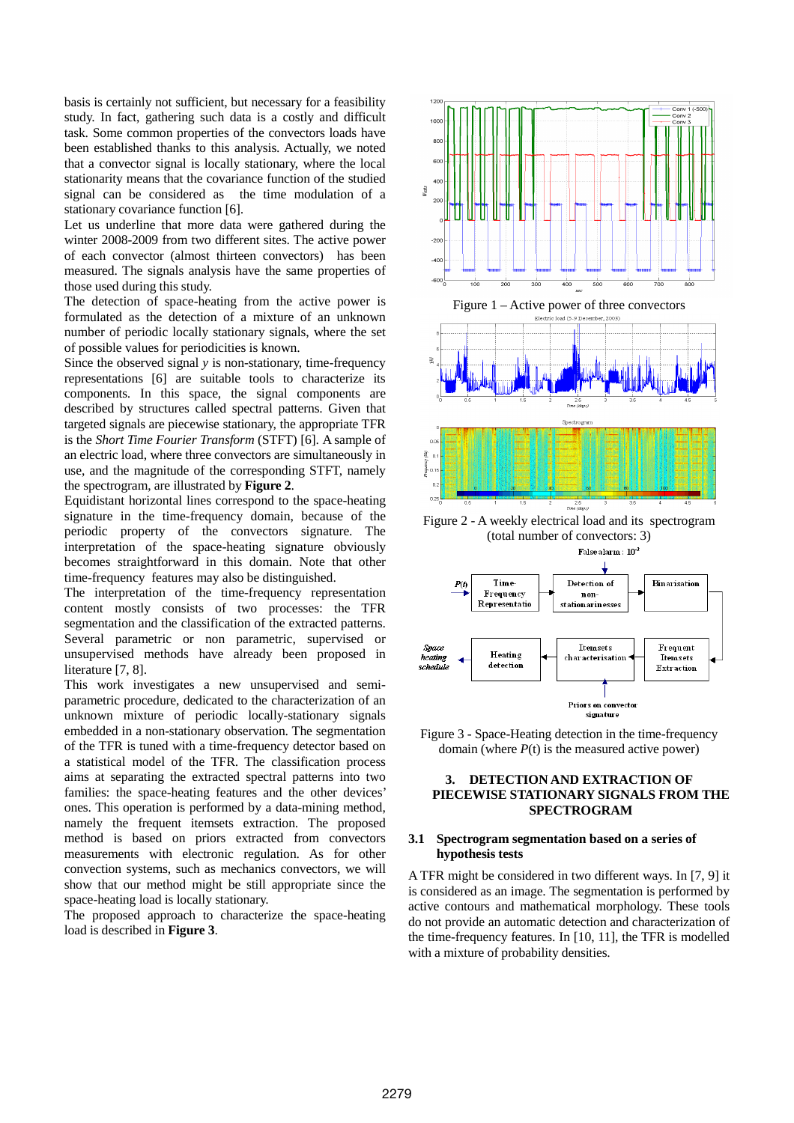basis is certainly not sufficient, but necessary for a feasibility study. In fact, gathering such data is a costly and difficult task. Some common properties of the convectors loads have been established thanks to this analysis. Actually, we noted that a convector signal is locally stationary, where the local stationarity means that the covariance function of the studied signal can be considered as the time modulation of a stationary covariance function [6].

Let us underline that more data were gathered during the winter 2008-2009 from two different sites. The active power of each convector (almost thirteen convectors) has been measured. The signals analysis have the same properties of those used during this study.

The detection of space-heating from the active power is formulated as the detection of a mixture of an unknown number of periodic locally stationary signals, where the set of possible values for periodicities is known.

Since the observed signal *v* is non-stationary, time-frequency representations [6] are suitable tools to characterize its components. In this space, the signal components are described by structures called spectral patterns. Given that targeted signals are piecewise stationary, the appropriate TFR is the *Short Time Fourier Transform* (STFT) [6]. A sample of an electric load, where three convectors are simultaneously in use, and the magnitude of the corresponding STFT, namely the spectrogram, are illustrated by **Figure 2**.

Equidistant horizontal lines correspond to the space-heating signature in the time-frequency domain, because of the periodic property of the convectors signature. The interpretation of the space-heating signature obviously becomes straightforward in this domain. Note that other time-frequency features may also be distinguished.

The interpretation of the time-frequency representation content mostly consists of two processes: the TFR segmentation and the classification of the extracted patterns. Several parametric or non parametric, supervised or unsupervised methods have already been proposed in literature [7, 8].

This work investigates a new unsupervised and semiparametric procedure, dedicated to the characterization of an unknown mixture of periodic locally-stationary signals embedded in a non-stationary observation. The segmentation of the TFR is tuned with a time-frequency detector based on a statistical model of the TFR. The classification process aims at separating the extracted spectral patterns into two families: the space-heating features and the other devices' ones. This operation is performed by a data-mining method, namely the frequent itemsets extraction. The proposed method is based on priors extracted from convectors measurements with electronic regulation. As for other convection systems, such as mechanics convectors, we will show that our method might be still appropriate since the space-heating load is locally stationary.

The proposed approach to characterize the space-heating load is described in **Figure 3**.



(total number of convectors: 3)



Figure 3 - Space-Heating detection in the time-frequency domain (where  $P(t)$  is the measured active power)

# **3. DETECTION AND EXTRACTION OF PIECEWISE STATIONARY SIGNALS FROM THE SPECTROGRAM**

# **3.1 Spectrogram segmentation based on a series of hypothesis tests**

A TFR might be considered in two different ways. In [7, 9] it is considered as an image. The segmentation is performed by active contours and mathematical morphology. These tools do not provide an automatic detection and characterization of the time-frequency features. In [10, 11], the TFR is modelled with a mixture of probability densities.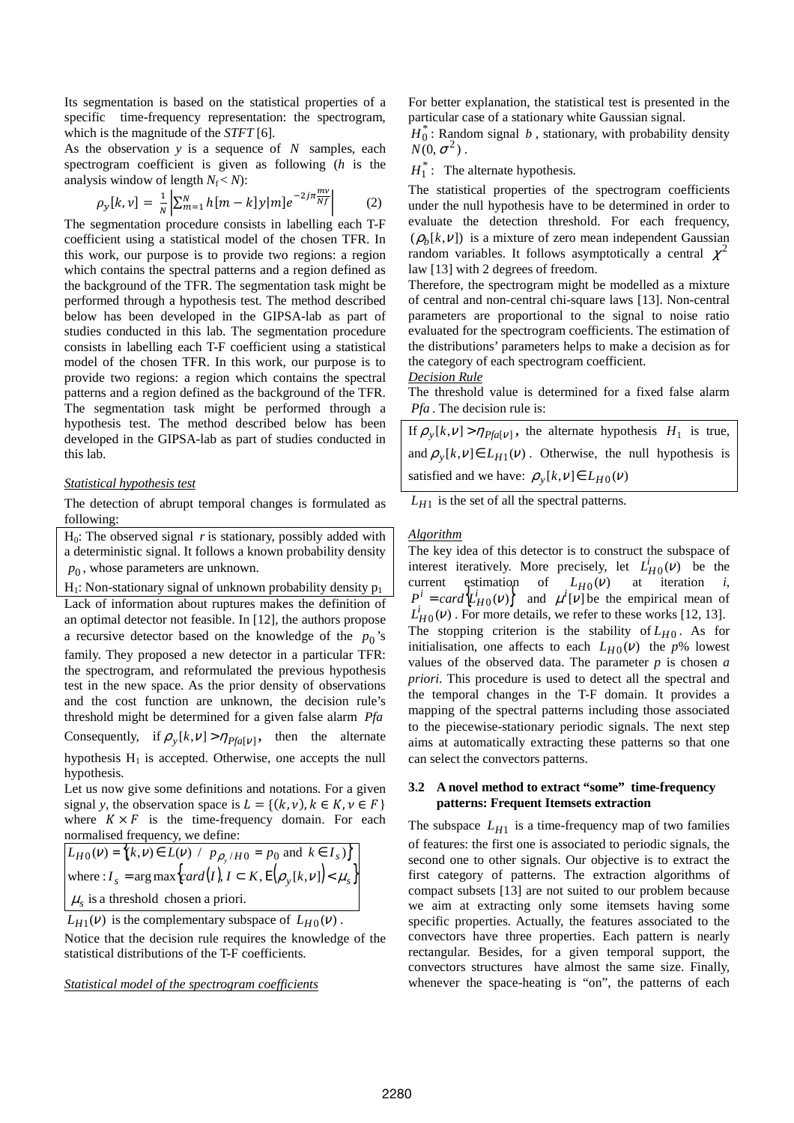Its segmentation is based on the statistical properties of a specific time-frequency representation: the spectrogram, which is the magnitude of the *STFT* [6].

As the observation *y* is a sequence of *N* samples, each spectrogram coefficient is given as following (*h* is the analysis window of length  $N_f < N$ ):

$$
\rho_{y}[k,v] = \frac{1}{N} \left| \sum_{m=1}^{N} h[m-k] y[m] e^{-2j\pi \frac{mv}{Nf}} \right| \tag{2}
$$

The segmentation procedure consists in labelling each T-F coefficient using a statistical model of the chosen TFR. In this work, our purpose is to provide two regions: a region which contains the spectral patterns and a region defined as the background of the TFR. The segmentation task might be performed through a hypothesis test. The method described below has been developed in the GIPSA-lab as part of studies conducted in this lab. The segmentation procedure consists in labelling each T-F coefficient using a statistical model of the chosen TFR. In this work, our purpose is to provide two regions: a region which contains the spectral patterns and a region defined as the background of the TFR. The segmentation task might be performed through a hypothesis test. The method described below has been developed in the GIPSA-lab as part of studies conducted in this lab.

### *Statistical hypothesis test*

The detection of abrupt temporal changes is formulated as following:

 $H<sub>0</sub>$ : The observed signal *r* is stationary, possibly added with a deterministic signal. It follows a known probability density  $p_0$ , whose parameters are unknown.

 $H_1$ : Non-stationary signal of unknown probability density  $p_1$ Lack of information about ruptures makes the definition of an optimal detector not feasible. In [12], the authors propose a recursive detector based on the knowledge of the  $p_0$ 's family. They proposed a new detector in a particular TFR: the spectrogram, and reformulated the previous hypothesis test in the new space. As the prior density of observations and the cost function are unknown, the decision rule's threshold might be determined for a given false alarm *Pfa*

Consequently, if  $\rho_y[k, v] > \eta_{Pf a[v]}$ , then the alternate hypothesis  $H_1$  is accepted. Otherwise, one accepts the null hypothesis.

Let us now give some definitions and notations. For a given signal *y*, the observation space is  $L = \{(k, v), k \in K, v \in F\}$ where  $K \times F$  is the time-frequency domain. For each normalised frequency, we define:

$$
L_{H0}(v) = \{(k, v) \in L(v) / p_{\rho_y/H0} = p_0 \text{ and } k \in I_s \}
$$
  
where:  $I_s = \arg \max \{ \text{card}(I), I \subset K, E[\rho_y[k, v]] \} \lt \mu_s \}$   
 $\mu_s$  is a threshold chosen a priori.

 $L_{H1}(v)$  is the complementary subspace of  $L_{H0}(v)$ . Notice that the decision rule requires the knowledge of the statistical distributions of the T-F coefficients.

# *Statistical model of the spectrogram coefficients*

For better explanation, the statistical test is presented in the particular case of a stationary white Gaussian signal.

 $H_0^*$ : Random signal *b*, stationary, with probability density  $N(0, \sigma^2)$ .

 $H_1^*$ : The alternate hypothesis.

The statistical properties of the spectrogram coefficients under the null hypothesis have to be determined in order to evaluate the detection threshold. For each frequency,  $(\rho_b[k, v])$  is a mixture of zero mean independent Gaussian random variables. It follows asymptotically a central  $\chi^2$ law [13] with 2 degrees of freedom.

Therefore, the spectrogram might be modelled as a mixture of central and non-central chi-square laws [13]. Non-central parameters are proportional to the signal to noise ratio evaluated for the spectrogram coefficients. The estimation of the distributions' parameters helps to make a decision as for the category of each spectrogram coefficient.

### *Decision Rule*

The threshold value is determined for a fixed false alarm *Pfa* . The decision rule is:

If  $\rho_y[k, v] > \eta_{Pf a[v]}$ , the alternate hypothesis  $H_1$  is true, and  $\rho_y[k, v] \in L_{H_1}(v)$ . Otherwise, the null hypothesis is satisfied and we have:  $\rho_y[k, v] \in L_{H_0}(v)$ 

*LH*<sup>1</sup> is the set of all the spectral patterns.

### *Algorithm*

The key idea of this detector is to construct the subspace of interest iteratively. More precisely, let  $L_{H0}^{i}(v)$  be the current estimation of  $L_{H0}(v)$  at iteration *i*,  $P^i = \text{card}\left\{\mathcal{L}^i_{H0}(v)\right\}$  and  $\mu^i[v]$  be the empirical mean of  $L_{H0}^{i}(v)$ . For more details, we refer to these works [12, 13]. The stopping criterion is the stability of  $L_{H0}$ . As for initialisation, one affects to each  $L_{H0}(v)$  the *p*% lowest values of the observed data. The parameter *p* is chosen *a priori*. This procedure is used to detect all the spectral and the temporal changes in the T-F domain. It provides a mapping of the spectral patterns including those associated to the piecewise-stationary periodic signals. The next step aims at automatically extracting these patterns so that one can select the convectors patterns.

# **3.2 A novel method to extract "some" time-frequency patterns: Frequent Itemsets extraction**

The subspace  $L_{H1}$  is a time-frequency map of two families of features: the first one is associated to periodic signals, the second one to other signals. Our objective is to extract the first category of patterns. The extraction algorithms of compact subsets [13] are not suited to our problem because we aim at extracting only some itemsets having some specific properties. Actually, the features associated to the convectors have three properties. Each pattern is nearly rectangular. Besides, for a given temporal support, the convectors structures have almost the same size. Finally, whenever the space-heating is "on", the patterns of each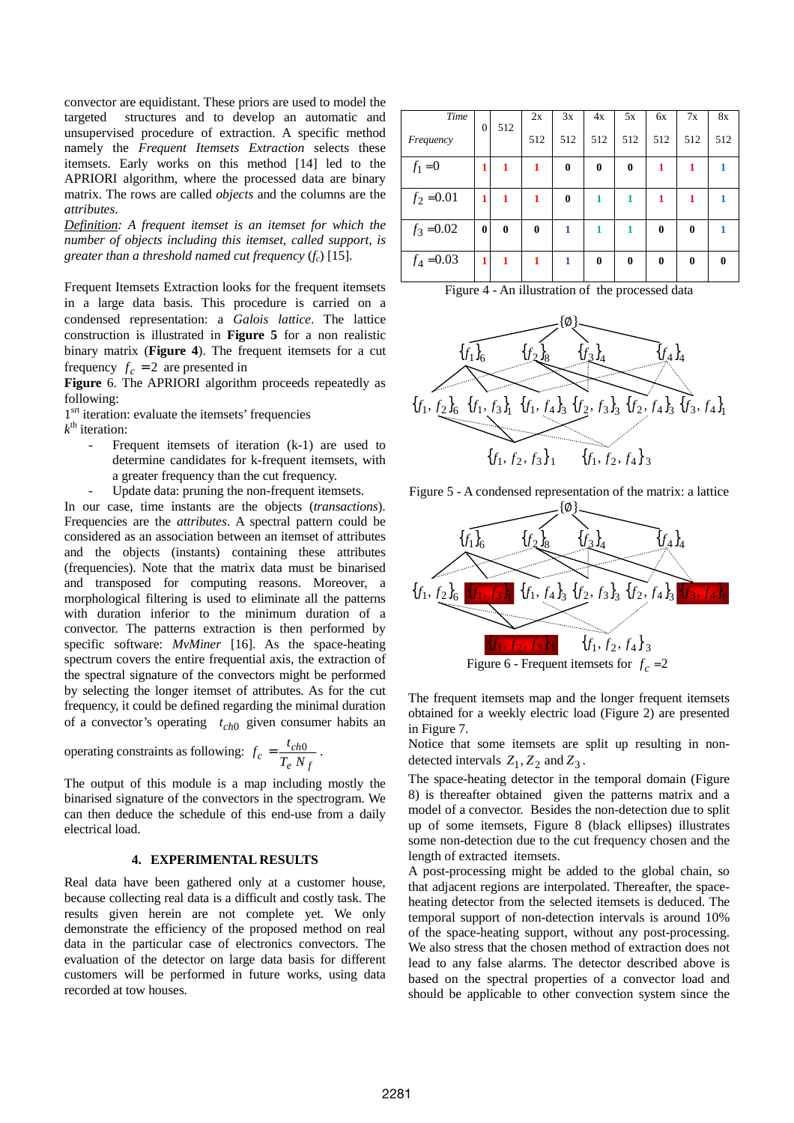convector are equidistant. These priors are used to model the targeted structures and to develop an automatic and unsupervised procedure of extraction. A specific method namely the *Frequent Itemsets Extraction* selects these itemsets. Early works on this method [14] led to the APRIORI algorithm, where the processed data are binary matrix. The rows are called *objects* and the columns are the *attributes*.

*Definition: A frequent itemset is an itemset for which the number of objects including this itemset, called support, is greater than a threshold named cut frequency* (*fc*) [15]*.* 

Frequent Itemsets Extraction looks for the frequent itemsets in a large data basis. This procedure is carried on a condensed representation: a *Galois lattice*. The lattice construction is illustrated in **Figure 5** for a non realistic binary matrix (**Figure 4**). The frequent itemsets for a cut frequency  $f_c = 2$  are presented in

**Figure** 6. The APRIORI algorithm proceeds repeatedly as following:

1<sup>srt</sup> iteration: evaluate the itemsets' frequencies

 $k^{\text{th}}$  iteration:

- Frequent itemsets of iteration (k-1) are used to determine candidates for k-frequent itemsets, with a greater frequency than the cut frequency.
- Update data: pruning the non-frequent itemsets.

In our case, time instants are the objects (*transactions*). Frequencies are the *attributes*. A spectral pattern could be considered as an association between an itemset of attributes and the objects (instants) containing these attributes (frequencies). Note that the matrix data must be binarised and transposed for computing reasons. Moreover, a morphological filtering is used to eliminate all the patterns with duration inferior to the minimum duration of a convector. The patterns extraction is then performed by specific software: *MvMiner* [16]. As the space-heating spectrum covers the entire frequential axis, the extraction of the spectral signature of the convectors might be performed by selecting the longer itemset of attributes. As for the cut frequency, it could be defined regarding the minimal duration of a convector's operating  $t_{ch0}$  given consumer habits an

operating constraints as following: 
$$
f_c = \frac{t_{ch0}}{T_e N_f}
$$
.

The output of this module is a map including mostly the binarised signature of the convectors in the spectrogram. We can then deduce the schedule of this end-use from a daily electrical load.

# **4. EXPERIMENTAL RESULTS**

Real data have been gathered only at a customer house, because collecting real data is a difficult and costly task. The results given herein are not complete yet. We only demonstrate the efficiency of the proposed method on real data in the particular case of electronics convectors. The evaluation of the detector on large data basis for different customers will be performed in future works, using data recorded at tow houses.

| Time         |                |          | 2x       | 3x       | 4x       | 5x       | 6x           | 7x       | 8x           |
|--------------|----------------|----------|----------|----------|----------|----------|--------------|----------|--------------|
| Frequency    | $\overline{0}$ | 512      | 512      | 512      | 512      | 512      | 512          | 512      | 512          |
| $f_1 = 0$    | 1              | 1        | 1        | $\bf{0}$ | $\bf{0}$ | $\bf{0}$ | 1            | 1        |              |
| $f_2 = 0.01$ | 1              | 1        | 1        | 0        | 1        | 1        | 1            | 1        |              |
| $f_3 = 0.02$ | 0              | $\bf{0}$ | $\bf{0}$ | 1        | 1        | 1        | 0            | $\bf{0}$ |              |
| $f_4 = 0.03$ | 1              | 1        | 1        | 1        | $\bf{0}$ | $\bf{0}$ | $\mathbf{0}$ | $\bf{0}$ | $\mathbf{0}$ |

Figure 4 - An illustration of the processed data



Figure 5 - A condensed representation of the matrix: a lattice



The frequent itemsets map and the longer frequent itemsets obtained for a weekly electric load (Figure 2) are presented in Figure 7.

Notice that some itemsets are split up resulting in nondetected intervals  $Z_1$ ,  $Z_2$  and  $Z_3$ .

The space-heating detector in the temporal domain (Figure 8) is thereafter obtained given the patterns matrix and a model of a convector. Besides the non-detection due to split up of some itemsets, Figure 8 (black ellipses) illustrates some non-detection due to the cut frequency chosen and the length of extracted itemsets.

A post-processing might be added to the global chain, so that adjacent regions are interpolated. Thereafter, the spaceheating detector from the selected itemsets is deduced. The temporal support of non-detection intervals is around 10% of the space-heating support, without any post-processing. We also stress that the chosen method of extraction does not lead to any false alarms. The detector described above is based on the spectral properties of a convector load and should be applicable to other convection system since the